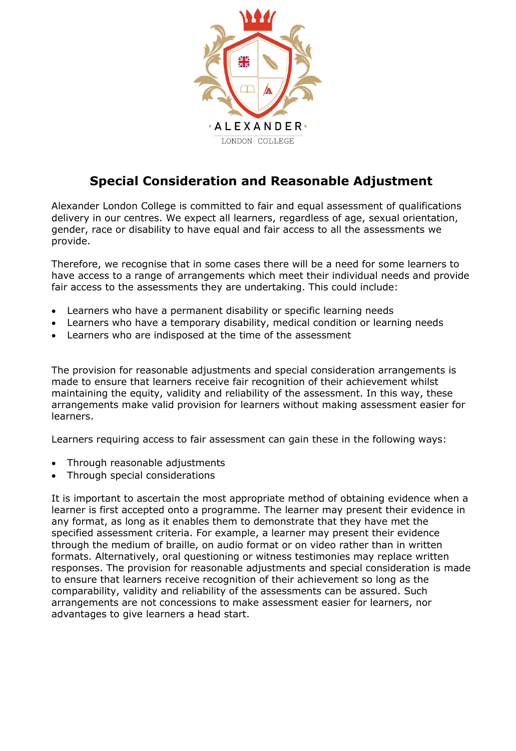

# **Special Consideration and Reasonable Adjustment**

Alexander London College is committed to fair and equal assessment of qualifications delivery in our centres. We expect all learners, regardless of age, sexual orientation, gender, race or disability to have equal and fair access to all the assessments we provide.

Therefore, we recognise that in some cases there will be a need for some learners to have access to a range of arrangements which meet their individual needs and provide fair access to the assessments they are undertaking. This could include:

- Learners who have a permanent disability or specific learning needs
- Learners who have a temporary disability, medical condition or learning needs
- Learners who are indisposed at the time of the assessment

The provision for reasonable adjustments and special consideration arrangements is made to ensure that learners receive fair recognition of their achievement whilst maintaining the equity, validity and reliability of the assessment. In this way, these arrangements make valid provision for learners without making assessment easier for learners.

Learners requiring access to fair assessment can gain these in the following ways:

- Through reasonable adjustments
- Through special considerations

It is important to ascertain the most appropriate method of obtaining evidence when a learner is first accepted onto a programme. The learner may present their evidence in any format, as long as it enables them to demonstrate that they have met the specified assessment criteria. For example, a learner may present their evidence through the medium of braille, on audio format or on video rather than in written formats. Alternatively, oral questioning or witness testimonies may replace written responses. The provision for reasonable adjustments and special consideration is made to ensure that learners receive recognition of their achievement so long as the comparability, validity and reliability of the assessments can be assured. Such arrangements are not concessions to make assessment easier for learners, nor advantages to give learners a head start.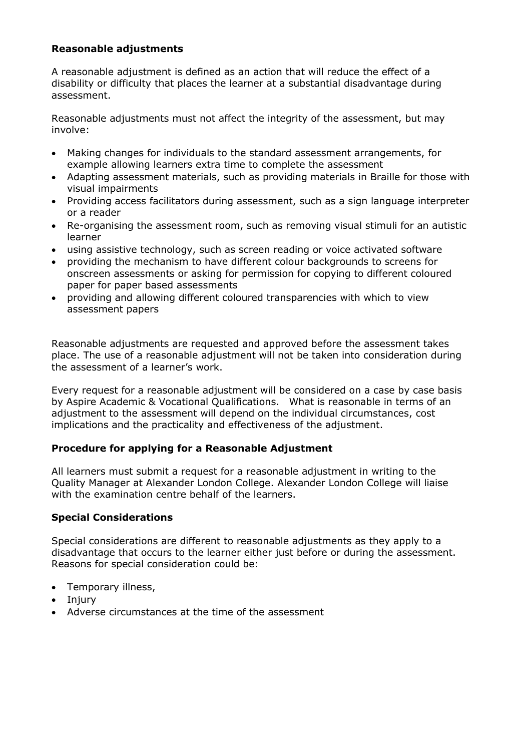## **Reasonable adjustments**

A reasonable adjustment is defined as an action that will reduce the effect of a disability or difficulty that places the learner at a substantial disadvantage during assessment.

Reasonable adjustments must not affect the integrity of the assessment, but may involve:

- Making changes for individuals to the standard assessment arrangements, for example allowing learners extra time to complete the assessment
- Adapting assessment materials, such as providing materials in Braille for those with visual impairments
- Providing access facilitators during assessment, such as a sign language interpreter or a reader
- Re-organising the assessment room, such as removing visual stimuli for an autistic learner
- using assistive technology, such as screen reading or voice activated software
- providing the mechanism to have different colour backgrounds to screens for onscreen assessments or asking for permission for copying to different coloured paper for paper based assessments
- providing and allowing different coloured transparencies with which to view assessment papers

Reasonable adjustments are requested and approved before the assessment takes place. The use of a reasonable adjustment will not be taken into consideration during the assessment of a learner's work.

Every request for a reasonable adjustment will be considered on a case by case basis by Aspire Academic & Vocational Qualifications. What is reasonable in terms of an adjustment to the assessment will depend on the individual circumstances, cost implications and the practicality and effectiveness of the adjustment.

## **Procedure for applying for a Reasonable Adjustment**

All learners must submit a request for a reasonable adjustment in writing to the Quality Manager at Alexander London College. Alexander London College will liaise with the examination centre behalf of the learners.

#### **Special Considerations**

Special considerations are different to reasonable adjustments as they apply to a disadvantage that occurs to the learner either just before or during the assessment. Reasons for special consideration could be:

- Temporary illness,
- Injury
- Adverse circumstances at the time of the assessment